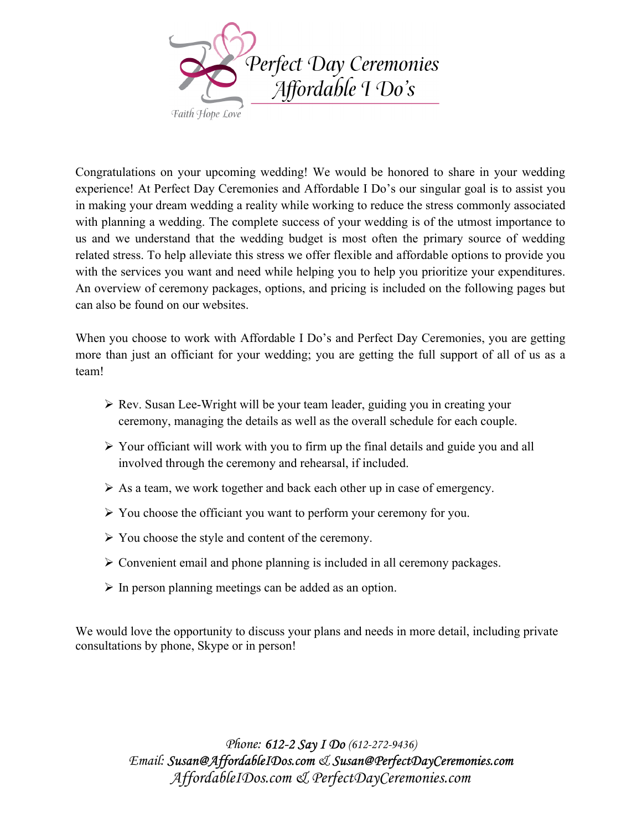

Congratulations on your upcoming wedding! We would be honored to share in your wedding experience! At Perfect Day Ceremonies and Affordable I Do's our singular goal is to assist you in making your dream wedding a reality while working to reduce the stress commonly associated with planning a wedding. The complete success of your wedding is of the utmost importance to us and we understand that the wedding budget is most often the primary source of wedding related stress. To help alleviate this stress we offer flexible and affordable options to provide you with the services you want and need while helping you to help you prioritize your expenditures. An overview of ceremony packages, options, and pricing is included on the following pages but can also be found on our websites.

When you choose to work with Affordable I Do's and Perfect Day Ceremonies, you are getting more than just an officiant for your wedding; you are getting the full support of all of us as a team!

- Rev. Susan Lee-Wright will be your team leader, guiding you in creating your ceremony, managing the details as well as the overall schedule for each couple.
- Your officiant will work with you to firm up the final details and guide you and all involved through the ceremony and rehearsal, if included.
- $\triangleright$  As a team, we work together and back each other up in case of emergency.
- $\triangleright$  You choose the officiant you want to perform your ceremony for you.
- You choose the style and content of the ceremony.
- $\triangleright$  Convenient email and phone planning is included in all ceremony packages.
- $\triangleright$  In person planning meetings can be added as an option.

We would love the opportunity to discuss your plans and needs in more detail, including private consultations by phone, Skype or in person!

> Phone: 612-2 Say I Do (612-272-9436) Email: Susan@AffordableIDos.com & Susan@PerfectDayCeremonies.com AffordableIDos.com & PerfectDayCeremonies.com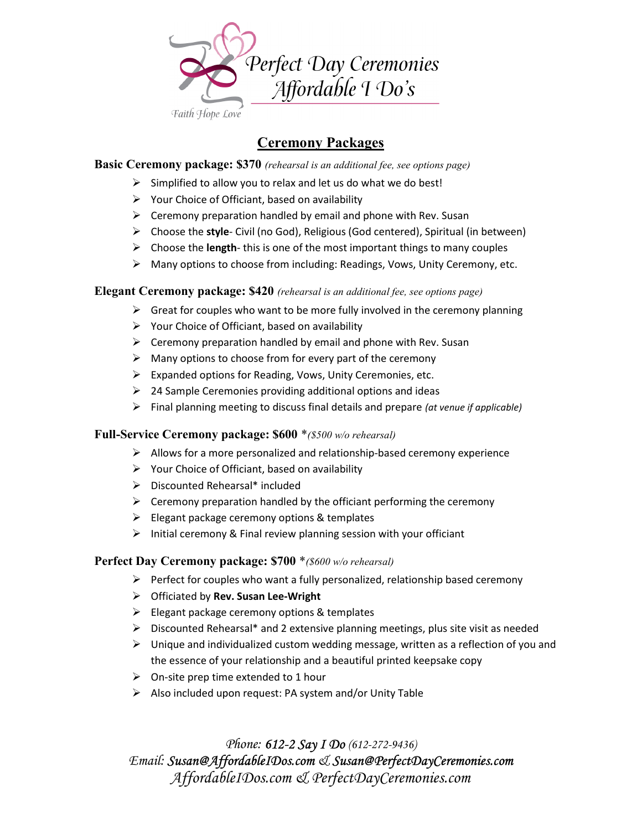

# Ceremony Packages

# **Basic Ceremony package: \$370** (rehearsal is an additional fee, see options page)

- $\triangleright$  Simplified to allow you to relax and let us do what we do best!
- $\triangleright$  Your Choice of Officiant, based on availability
- $\triangleright$  Ceremony preparation handled by email and phone with Rev. Susan
- $\triangleright$  Choose the style- Civil (no God), Religious (God centered), Spiritual (in between)
- $\triangleright$  Choose the length-this is one of the most important things to many couples
- Many options to choose from including: Readings, Vows, Unity Ceremony, etc.

# **Elegant Ceremony package: \$420** (rehearsal is an additional fee, see options page)

- $\triangleright$  Great for couples who want to be more fully involved in the ceremony planning
- $\triangleright$  Your Choice of Officiant, based on availability
- $\triangleright$  Ceremony preparation handled by email and phone with Rev. Susan
- $\triangleright$  Many options to choose from for every part of the ceremony
- $\triangleright$  Expanded options for Reading, Vows, Unity Ceremonies, etc.
- $\geq$  24 Sample Ceremonies providing additional options and ideas
- $\triangleright$  Final planning meeting to discuss final details and prepare (at venue if applicable)

# Full-Service Ceremony package: \$600 \*(\$500 w/o rehearsal)

- $\triangleright$  Allows for a more personalized and relationship-based ceremony experience
- $\triangleright$  Your Choice of Officiant, based on availability
- $\triangleright$  Discounted Rehearsal\* included
- $\triangleright$  Ceremony preparation handled by the officiant performing the ceremony
- $\triangleright$  Elegant package ceremony options & templates
- $\triangleright$  Initial ceremony & Final review planning session with your officiant

# Perfect Day Ceremony package: \$700 *\**(\$600 w/o rehearsal)

- $\triangleright$  Perfect for couples who want a fully personalized, relationship based ceremony
- $\triangleright$  Officiated by Rev. Susan Lee-Wright
- $\triangleright$  Elegant package ceremony options & templates
- $\triangleright$  Discounted Rehearsal\* and 2 extensive planning meetings, plus site visit as needed
- $\triangleright$  Unique and individualized custom wedding message, written as a reflection of you and the essence of your relationship and a beautiful printed keepsake copy
- $\triangleright$  On-site prep time extended to 1 hour
- $\triangleright$  Also included upon request: PA system and/or Unity Table

Phone: 612-2 Say I Do (612-272-9436) Email: Susan@AffordableIDos.com & Susan@PerfectDayCeremonies.com AffordableIDos.com & PerfectDayCeremonies.com